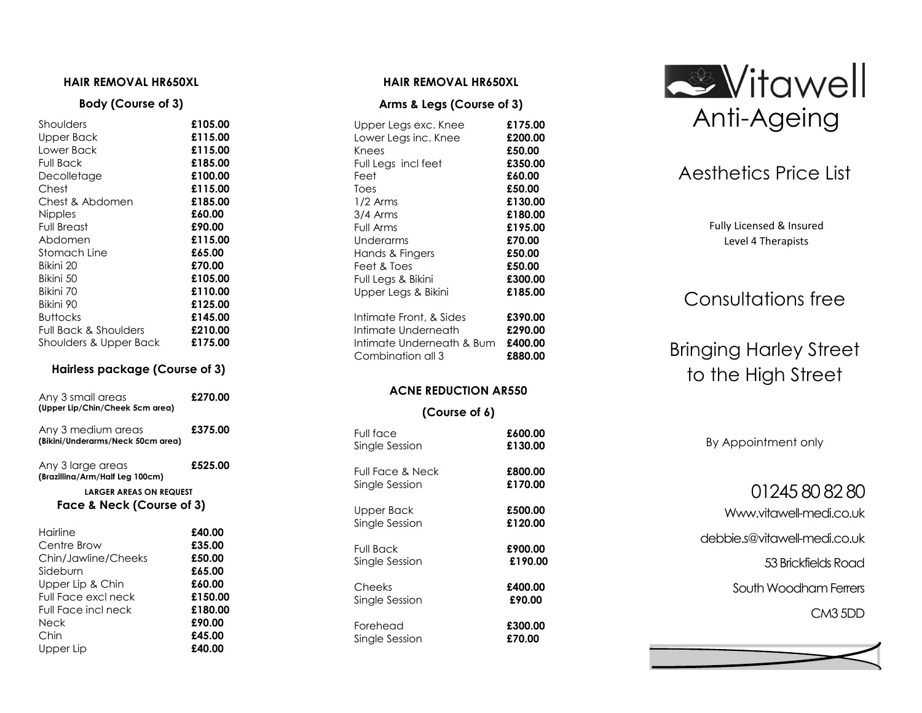#### **HAIR REMOVAL HR650XL**

#### **Body (Course of 3)**

| £105.00 |
|---------|
| £115.00 |
| £115.00 |
| £185.00 |
| £100.00 |
| £115.00 |
| £185.00 |
| £60.00  |
| £90.00  |
| £115.00 |
| £65.00  |
| £70.00  |
| £105.00 |
| £110.00 |
| £125.00 |
| £145.00 |
| £210.00 |
| £175.00 |
|         |

#### **Hairless package (Course of 3)**

| Any 3 small areas<br>(Upper Lip/Chin/Cheek 5cm area)        | £270.00 |  |
|-------------------------------------------------------------|---------|--|
| Any 3 medium areas<br>(Bikini/Underarms/Neck 50cm area)     | £375.00 |  |
| Any 3 large areas<br>(Brazillina/Arm/Half Leg 100cm)        | £525.00 |  |
| <b>LARGER AREAS ON REQUEST</b><br>Face & Neck (Course of 3) |         |  |
| Hairline                                                    | £40.00  |  |
| Centre Brow                                                 | £35.00  |  |
| Chin/Jawline/Cheeks                                         | £50.00  |  |
| Sideburn                                                    | £65.00  |  |
| Upper Lip & Chin                                            | £60.00  |  |
| Full Face excl neck                                         | £150.00 |  |
| Full Face incl neck                                         | £180.00 |  |
| Neck                                                        | £90.00  |  |
| Chin                                                        | £45.00  |  |
| Upper Lip                                                   | £40.00  |  |

#### **HAIR REMOVAL HR650XL**

#### **Arms & Legs (Course of 3)**

| Upper Legs exc. Knee      | £175.00 |
|---------------------------|---------|
| Lower Legs inc. Knee      | £200.00 |
| Knees                     | £50.00  |
| Full Legs incl feet       | £350.00 |
| Feet                      | £60.00  |
| Toes                      | £50.00  |
| $1/2$ Arms                | £130.00 |
| 3/4 Arms                  | £180.00 |
| Full Arms                 | £195.00 |
| Underarms                 | £70.00  |
| Hands & Fingers           | £50.00  |
| Feet & Toes               | £50.00  |
| Full Legs & Bikini        | £300.00 |
| Upper Legs & Bikini       | £185.00 |
| Intimate Front, & Sides   | £390.00 |
| Intimate Underneath       | £290.00 |
| Intimate Underneath & Bum | £400.00 |
| Combination all 3         | £880.00 |
| ACNE REDIICTION AR550     |         |

#### **ACNE REDUCTION AR550**

#### **(Course of 6)**

| Full face        | £600.00 |
|------------------|---------|
| Single Session   | £130.00 |
| Full Face & Neck | £800.00 |
| Single Session   | £170.00 |
| Upper Back       | £500.00 |
| Single Session   | £120.00 |
| Full Back        | £900.00 |
| Single Session   | £190.00 |
| Cheeks           | £400.00 |
| Single Session   | £90.00  |
| Forehead         | £300.00 |
| Single Session   | £70.00  |



# Aesthetics Price List

Fully Licensed & Insured Level 4 Therapists

# Consultations free

# Bringing Harley Street to the High Street

By Appointment only

# 01245 80 82 80

Www.vitawell -medi.co.uk

debbie.s@vitawell -medi.co.uk

53 Brickfields Road

South Woodham Ferrers

CM3 5DD

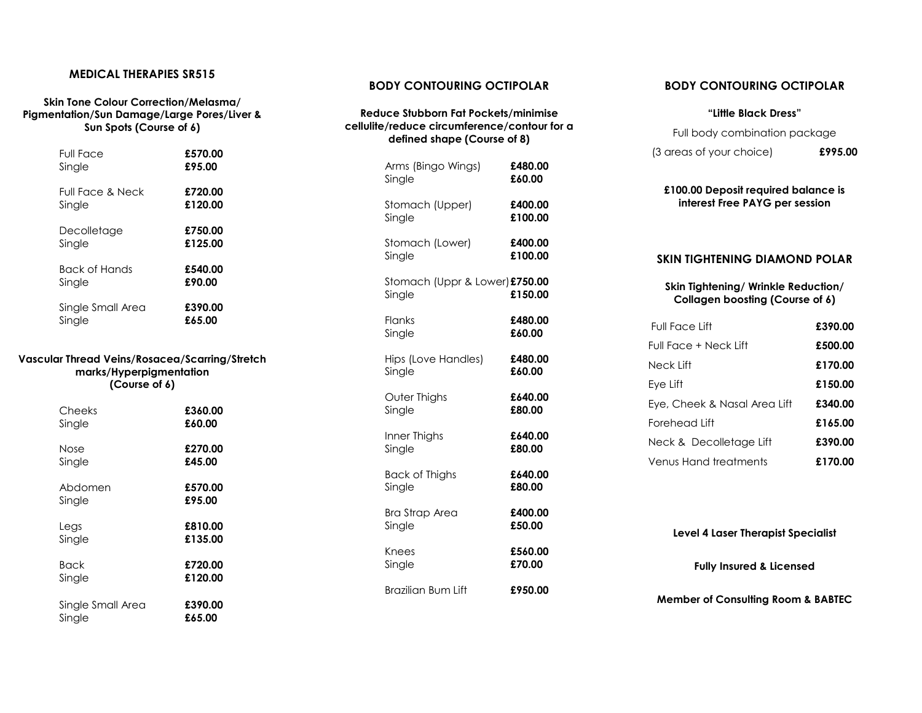#### **MEDICAL THERAPIES SR515**

#### **Skin Tone Colour Correction/Melasma/ Pigmentation/Sun Damage/Large Pores/Liver & Sun Spots (Course of 6)**

| <b>Full Face</b>                                                                           | £570.00 |  |
|--------------------------------------------------------------------------------------------|---------|--|
| Single                                                                                     | £95.00  |  |
| <b>Full Face &amp; Neck</b>                                                                | £720.00 |  |
| Single                                                                                     | £120.00 |  |
| Decolletage                                                                                | £750.00 |  |
| Single                                                                                     | £125.00 |  |
| <b>Back of Hands</b>                                                                       | £540.00 |  |
| Single                                                                                     | £90.00  |  |
| Single Small Area                                                                          | £390.00 |  |
| Single                                                                                     | £65.00  |  |
| Vascular Thread Veins/Rosacea/Scarring/Stretch<br>marks/Hyperpigmentation<br>(Course of 6) |         |  |
| Cheeks                                                                                     | £360.00 |  |
| Single                                                                                     | £60.00  |  |
| Nose                                                                                       | £270.00 |  |
| Single                                                                                     | £45.00  |  |
| Abdomen                                                                                    | £570.00 |  |
| Single                                                                                     | £95.00  |  |
| Legs                                                                                       | £810.00 |  |
| Single                                                                                     | £135.00 |  |
| <b>Back</b>                                                                                | £720.00 |  |
| Single                                                                                     | £120.00 |  |
| Single Small Area                                                                          | £390.00 |  |
| Single                                                                                     | £65.00  |  |

#### **BODY CONTOURING OCTIPOLAR**

#### **Reduce Stubborn Fat Pockets/minimise cellulite/reduce circumference/contour for a defined shape (Course of 8)**

| Arms (Bingo Wings)                       | £480.00 |
|------------------------------------------|---------|
| Single                                   | £60.00  |
| Stomach (Upper)                          | £400.00 |
| Single                                   | £100.00 |
| Stomach (Lower)                          | £400.00 |
| Single                                   | £100.00 |
| Stomach (Uppr & Lower) £750.00<br>Single | £150.00 |
| Flanks                                   | £480.00 |
| Single                                   | £60.00  |
| Hips (Love Handles)                      | £480.00 |
| Single                                   | £60.00  |
| Outer Thighs                             | £640.00 |
| Single                                   | £80.00  |
| Inner Thighs                             | £640.00 |
| Single                                   | £80.00  |
| Back of Thighs                           | £640.00 |
| Single                                   | £80.00  |
| <b>Bra Strap Area</b>                    | £400.00 |
| Single                                   | £50.00  |
| Knees                                    | £560.00 |
| Single                                   | £70.00  |
| <b>Brazilian Bum Lift</b>                | £950.00 |

#### **BODY CONTOURING OCTIPOLAR**

#### **"Little Black Dress"**

| Full body combination package |         |
|-------------------------------|---------|
| (3 areas of your choice)      | £995.00 |

#### **£100.00 Deposit required balance is interest Free PAYG per session**

#### **SKIN TIGHTENING DIAMOND POLAR**

#### **Skin Tightening/ Wrinkle Reduction/ Collagen boosting (Course of 6)**

| Full Face Lift               | £390.00 |
|------------------------------|---------|
| Full Face + Neck Lift        | £500.00 |
| Neck Lift                    | £170.00 |
| Eye Lift                     | £150.00 |
| Eye, Cheek & Nasal Area Lift | £340.00 |
| Forehead Lift                | £165.00 |
| Neck & Decolletage Lift      | £390.00 |
| Venus Hand treatments        | £170.00 |

**Level 4 Laser Therapist Specialist Fully Insured & Licensed** 

**Member of Consulting Room & BABTEC**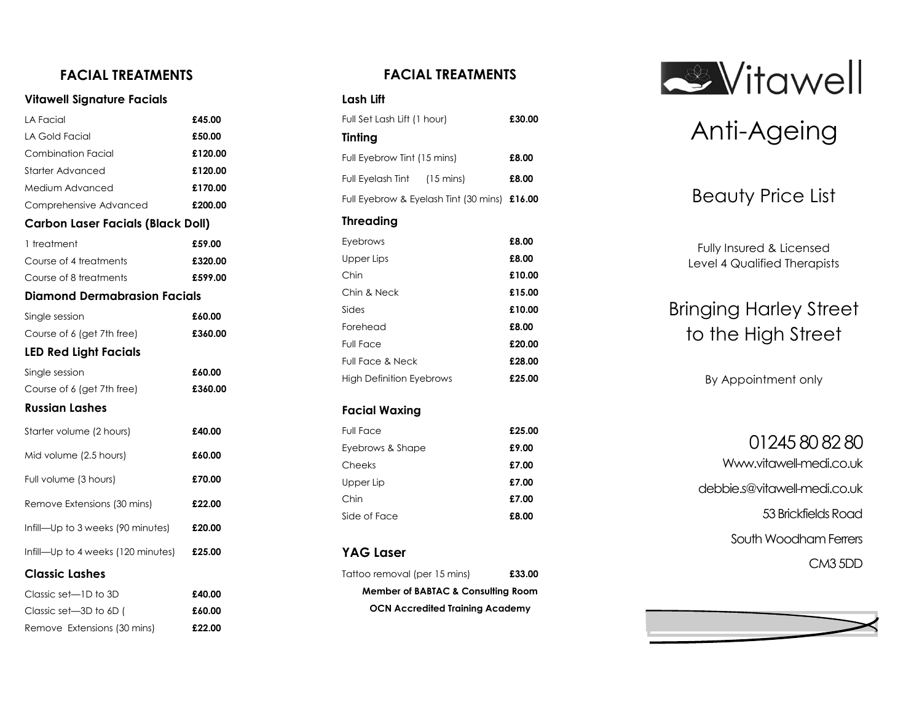## **FACIAL TREATMENTS**

#### **Vitawell Signature Facials**

| LA Facial                                | £45.00  |
|------------------------------------------|---------|
| <b>LA Gold Facial</b>                    | £50.00  |
| Combination Facial                       | £120.00 |
| Starter Advanced                         | £120.00 |
| Medium Advanced                          | £170.00 |
| Comprehensive Advanced                   | £200.00 |
| <b>Carbon Laser Facials (Black Doll)</b> |         |
| 1 treatment                              | £59.00  |
| Course of 4 treatments                   | £320.00 |
| Course of 8 treatments                   | £599.00 |
| <b>Diamond Dermabrasion Facials</b>      |         |
| Single session                           | £60.00  |
| Course of 6 (get 7th free)               | £360.00 |
| <b>LED Red Light Facials</b>             |         |
| Single session                           | £60.00  |
| Course of 6 (get 7th free)               | £360.00 |
| <b>Russian Lashes</b>                    |         |
| Starter volume (2 hours)                 | £40.00  |
| Mid volume (2.5 hours)                   | £60.00  |
| Full volume (3 hours)                    | £70.00  |
| Remove Extensions (30 mins)              | £22.00  |
| Infill—Up to 3 weeks (90 minutes)        | £20.00  |
| Infill—Up to 4 weeks (120 minutes)       | £25.00  |
| <b>Classic Lashes</b>                    |         |
| Classic set-1D to 3D                     | £40.00  |
| Classic set-3D to 6D (                   | £60.00  |
| Remove Extensions (30 mins)              | £22.00  |

## **FACIAL TREATMENTS**

#### **Lash Lift**

| Full Set Lash Lift (1 hour)                  | £30.00 |
|----------------------------------------------|--------|
| Tinting                                      |        |
| Full Eyebrow Tint (15 mins)                  | £8.00  |
| Full Eyelash Tint (15 mins)                  | £8.00  |
| Full Eyebrow & Eyelash Tint (30 mins) £16.00 |        |
| <b>Threading</b>                             |        |
| Eyebrows                                     | £8.00  |
| Upper Lips                                   | £8.00  |
| Chin                                         | £10.00 |
| Chin & Neck                                  | £15.00 |
| Sides                                        | £10.00 |
| Forehead                                     | £8.00  |
| <b>Full Face</b>                             | £20.00 |
| <b>Full Face &amp; Neck</b>                  | £28.00 |
| <b>High Definition Eyebrows</b>              | £25.00 |
| Facial Waxing                                |        |

#### **Facial Waxing**

| <b>Full Face</b> | £25.00 |
|------------------|--------|
| Eyebrows & Shape | £9.00  |
| Cheeks           | £7.00  |
| Upper Lip        | £7.00  |
| Chin             | £7.00  |
| Side of Face     | £8.00  |

### **YAG Laser**

| Tattoo removal (per 15 mins)           | £33.00 |
|----------------------------------------|--------|
| Member of BABTAC & Consulting Room     |        |
| <b>OCN Accredited Training Academy</b> |        |



# Anti -Ageing

# Beauty Price List

Fully Insured & Licensed Level 4 Qualified Therapists

# Bringing Harley Street to the High Street

By Appointment only

01245 80 82 80 Www.vitawell-medi.co.uk debbie.s@vitawell -medi.co.uk 53 Brickfields Road South Woodham Ferrers CM3 5DD